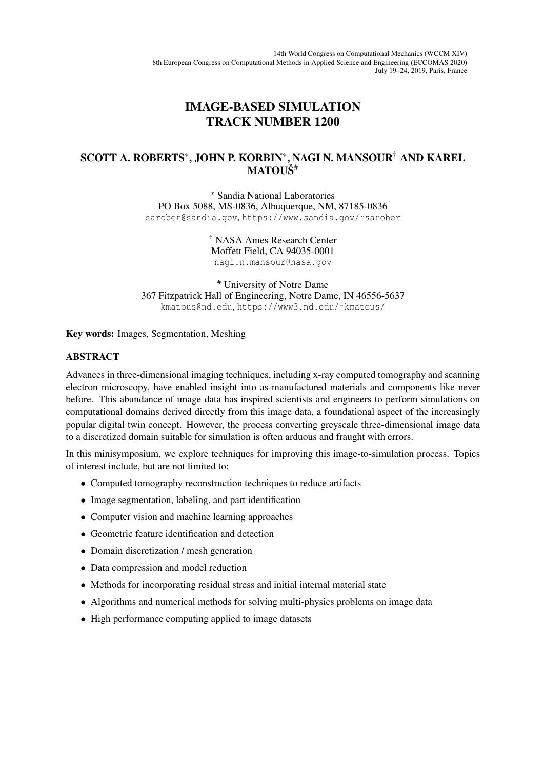## IMAGE-BASED SIMULATION TRACK NUMBER 1200

## SCOTT A. ROBERTS<sup>∗</sup> , JOHN P. KORBIN<sup>∗</sup> , NAGI N. MANSOUR† AND KAREL MATOUŠ<sup>#</sup>

<sup>∗</sup> Sandia National Laboratories PO Box 5088, MS-0836, Albuquerque, NM, 87185-0836 sarober@sandia.gov, https://www.sandia.gov/~sarober

> † NASA Ames Research Center Moffett Field, CA 94035-0001 nagi.n.mansour@nasa.gov

# University of Notre Dame 367 Fitzpatrick Hall of Engineering, Notre Dame, IN 46556-5637 kmatous@nd.edu, https://www3.nd.edu/˜kmatous/

Key words: Images, Segmentation, Meshing

## ABSTRACT

Advances in three-dimensional imaging techniques, including x-ray computed tomography and scanning electron microscopy, have enabled insight into as-manufactured materials and components like never before. This abundance of image data has inspired scientists and engineers to perform simulations on computational domains derived directly from this image data, a foundational aspect of the increasingly popular digital twin concept. However, the process converting greyscale three-dimensional image data to a discretized domain suitable for simulation is often arduous and fraught with errors.

In this minisymposium, we explore techniques for improving this image-to-simulation process. Topics of interest include, but are not limited to:

- Computed tomography reconstruction techniques to reduce artifacts
- Image segmentation, labeling, and part identification
- Computer vision and machine learning approaches
- Geometric feature identification and detection
- Domain discretization / mesh generation
- Data compression and model reduction
- Methods for incorporating residual stress and initial internal material state
- Algorithms and numerical methods for solving multi-physics problems on image data
- High performance computing applied to image datasets